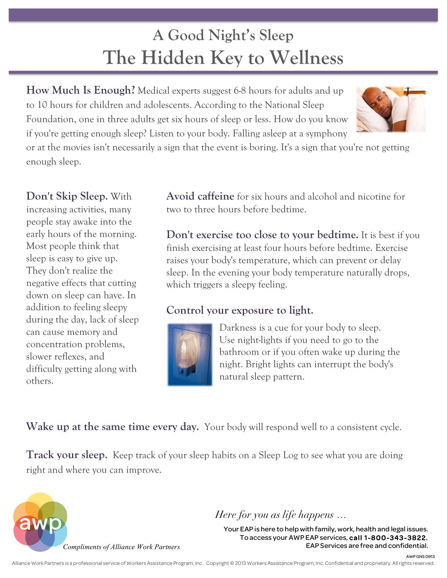## **A Good Night's Sleep The Hidden Key to Wellness**

**How Much Is Enough?** Medical experts suggest 6-8 hours for adults and up to 10 hours for children and adolescents. According to the National Sleep Foundation, one in three adults get six hours of sleep or less. How do you know if you're getting enough sleep? Listen to your body. Falling asleep at a symphony



or at the movies isn't necessarily a sign that the event is boring. It's a sign that you're not getting enough sleep.

**Don't Skip Sleep.** With increasing activities, many people stay awake into the early hours of the morning. Most people think that sleep is easy to give up. They don't realize the negative effects that cutting down on sleep can have. In addition to feeling sleepy during the day, lack of sleep can cause memory and concentration problems, slower reflexes, and difficulty getting along with others.

**Avoid caffeine** for six hours and alcohol and nicotine for two to three hours before bedtime.

**Don't exercise too close to your bedtime.** It is best if you finish exercising at least four hours before bedtime. Exercise raises your body's temperature, which can prevent or delay sleep. In the evening your body temperature naturally drops, which triggers a sleepy feeling.

## **Control your exposure to light.**



Darkness is a cue for your body to sleep. Use night-lights if you need to go to the bathroom or if you often wake up during the night. Bright lights can interrupt the body's natural sleep pattern.

Wake up at the same time every day. Your body will respond well to a consistent cycle.

**Track your sleep.** Keep track of your sleep habits on a Sleep Log to see what you are doing right and where you can improve.



*Here for you as life happens …*

Your EAP is here to help with family, work, health and legal issues. To access your AWP EAP services, call 1-800-343-3822. EAP Services are free and confidential.

AWP GNS 0913